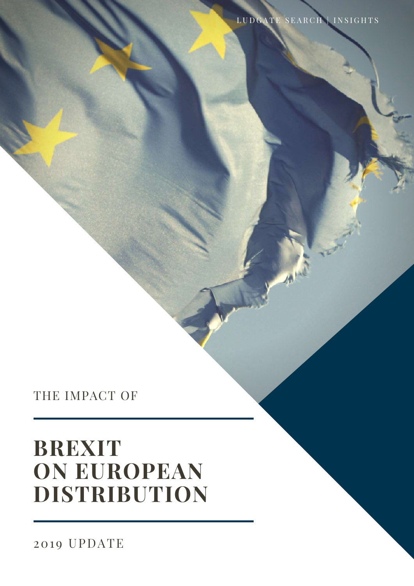# **BREXIT ON EUROPEAN DISTRIBUTION**

THE IMPACT OF

LUDGATE SEARCH | INSIGHTS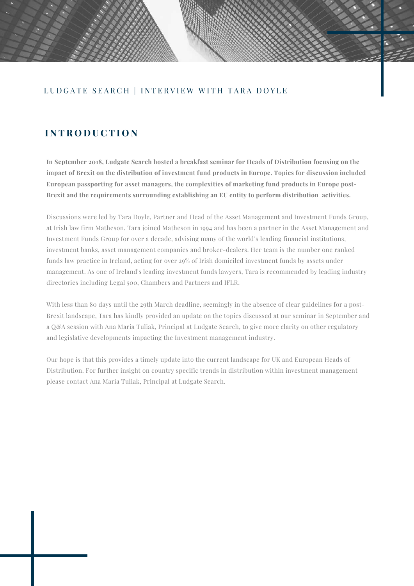#### LUDGATE SEARCH | INTERVIEW WITH TARA DOYLE

#### **I N T R O D U C T I O N**

**In September 2018, Ludgate Search hosted a breakfast seminar for Heads of Distribution focusing on the impact of Brexit on the distribution of investment fund products in Europe. Topics for discussion included European passporting for asset managers, the complexities of marketing fund products in Europe post-Brexit and the requirements surrounding establishing an EU entity to perform distribution activities.**

Discussions were led by Tara Doyle, Partner and Head of the Asset Management and Investment Funds Group, at Irish law firm Matheson. Tara joined Matheson in 1994 and has been a partner in the Asset Management and Investment Funds Group for over a decade, advising many of the world's leading financial institutions, investment banks, asset management companies and broker-dealers. Her team is the number one ranked funds law practice in Ireland, acting for over 29% of Irish domiciled investment funds by assets under management. As one of Ireland's leading investment funds lawyers, Tara is recommended by leading industry directories including Legal 500, Chambers and Partners and IFLR.

With less than 80 days until the 29th March deadline, seemingly in the absence of clear guidelines for a post-Brexit landscape, Tara has kindly provided an update on the topics discussed at our seminar in September and a Q&A session with Ana Maria Tuliak, Principal at Ludgate Search, to give more clarity on other regulatory and legislative developments impacting the Investment management industry.

Our hope is that this provides a timely update into the current landscape for UK and European Heads of Distribution. For further insight on country specific trends in distribution within investment management please contact Ana Maria Tuliak, Principal at Ludgate Search.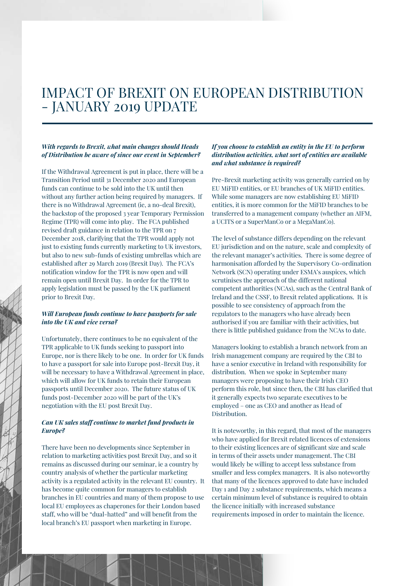## IMPACT OF BREXIT ON EUROPEAN DISTRIBUTION - JANUARY 2019 UPDATE

#### *With regards to Brexit, what main changes should Heads of Distribution be aware of since our event in September?*

If the Withdrawal Agreement is put in place, there will be a Transition Period until 31 December 2020 and European funds can continue to be sold into the UK until then without any further action being required by managers. If there is no Withdrawal Agreement (ie, a no-deal Brexit), the backstop of the proposed 3 year Temporary Permission Regime (TPR) will come into play. The FCA published revised draft guidance in relation to the TPR on 7 December 2018, clarifying that the TPR would apply not just to existing funds currently marketing to UK investors, but also to new sub-funds of existing umbrellas which are established after 29 March 2019 (Brexit Day). The FCA's notification window for the TPR is now open and will remain open until Brexit Day. In order for the TPR to apply legislation must be passed by the UK parliament prior to Brexit Day.

#### *Will European funds continue to have passports for sale into the UK and vice versa?*

Unfortunately, there continues to be no equivalent of the TPR applicable to UK funds seeking to passport into Europe, nor is there likely to be one. In order for UK funds to have a passport for sale into Europe post-Brexit Day, it will be necessary to have a Withdrawal Agreement in place, which will allow for UK funds to retain their European passports until December 2020. The future status of UK funds post-December 2020 will be part of the UK's negotiation with the EU post Brexit Day.

#### *Can UK sales staff continue to market fund products in Europe?*

There have been no developments since September in relation to marketing activities post Brexit Day, and so it remains as discussed during our seminar, ie a country by country analysis of whether the particular marketing activity is a regulated activity in the relevant EU country. It has become quite common for managers to establish branches in EU countries and many of them propose to use local EU employees as chaperones for their London based staff, who will be "dual-hatted" and will benefit from the local branch's EU passport when marketing in Europe.

#### *If you choose to establish an entity in the EU to perform distribution activities, what sort of entities are available and what substance is required?*

Pre-Brexit marketing activity was generally carried on by EU MiFID entities, or EU branches of UK MiFID entities. While some managers are now establishing EU MiFID entities, it is more common for the MiFID branches to be transferred to a management company (whether an AIFM, a UCITS or a SuperManCo or a MegaManCo).

The level of substance differs depending on the relevant EU jurisdiction and on the nature, scale and complexity of the relevant manager's activities. There is some degree of harmonisation afforded by the Supervisory Co-ordination Network (SCN) operating under ESMA's auspices, which scrutinises the approach of the different national competent authorities (NCAs), such as the Central Bank of Ireland and the CSSF, to Brexit related applications. It is possible to see consistency of approach from the regulators to the managers who have already been authorised if you are familiar with their activities, but there is little published guidance from the NCAs to date.

Managers looking to establish a branch network from an Irish management company are required by the CBI to have a senior executive in Ireland with responsibility for distribution. When we spoke in September many managers were proposing to have their Irish CEO perform this role, but since then, the CBI has clarified that it generally expects two separate executives to be employed – one as CEO and another as Head of Distribution.

It is noteworthy, in this regard, that most of the managers who have applied for Brexit related licences of extensions to their existing licences are of significant size and scale in terms of their assets under management. The CBI would likely be willing to accept less substance from smaller and less complex managers. It is also noteworthy that many of the licences approved to date have included Day 1 and Day 2 substance requirements, which means a certain minimum level of substance is required to obtain the licence initially with increased substance requirements imposed in order to maintain the licence.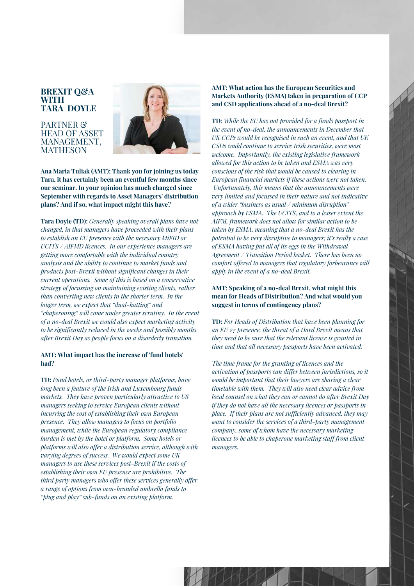#### **BREXIT Q&A WITH TARA DOYLE**

PARTNER<sup>&</sup> HEAD OF ASSET MANAGEMENT, MATHESON



**Ana Maria Tuliak (AMT): Thank you for joining us today Tara, it has certainly been an eventful few months since our seminar. In your opinion has much changed since September with regards to Asset Managers' distribution plans? And if so, what impact might this have?**

**Tara Doyle (TD):** *Generally speaking overall plans have not changed, in that managers have proceeded with their plans to establish an EU presence with the necessary MiFID or UCITS / AIFMD licences. In our experience managers are getting more comfortable with the individual country analysis and the ability to continue to market funds and products post-Brexit without significant changes in their current operations. Some of this is based on a conservative strategy of focussing on maintaining existing clients, rather than converting new clients in the shorter term. In the longer term, we expect that "dual-hatting" and "chaperoning" will come under greater scrutiny. In the event of a no-deal Brexit we would also expect marketing activity to be significantly reduced in the weeks and possibly months after Brexit Day as people focus on a disorderly transition.*

#### **AMT: What impact has the increase of 'fund hotels' had?**

**TD:** *Fund hotels, or third-party manager platforms, have long been a feature of the Irish and Luxembourg funds markets. They have proven particularly attractive to US managers seeking to service European clients without incurring the cost of establishing their own European presence. They allow managers to focus on portfolio management, while the European regulatory compliance burden is met by the hotel or platform. Some hotels or platforms will also offer a distribution service, although with varying degrees of success. We would expect some UK managers to use these services post-Brexit if the costs of establishing their own EU presence are prohibitive. The third party managers who offer these services generally offer a range of options from own-branded umbrella funds to "plug and play" sub-funds on an existing platform.*

#### **AMT: What action has the European Securities and Markets Authority (ESMA) taken in preparation of CCP and CSD applications ahead of a no-deal Brexit?**

**TD**: *While the EU has not provided for a funds passport in the event of no-deal, the announcements in December that UK CCPs would be recognised in such an event, and that UK CSDs could continue to service Irish securities, were most welcome. Importantly, the existing legislative framework allowed for this action to be taken and ESMA was very conscious of the risk that would be caused to clearing in European financial markets if these actions were not taken. Unfortunately, this means that the announcements were very limited and focussed in their nature and not indicative of a wider "business as usual / minimum disruption" approach by ESMA. The UCITS, and to a lesser extent the AIFM, framework does not allow for similar action to be taken by ESMA, meaning that a no-deal Brexit has the potential to be very disruptive to managers; it's really a case of ESMA having put all of its eggs in the Withdrawal Agreement / Transition Period basket. There has been no comfort offered to managers that regulatory forbearance will apply in the event of a no-deal Brexit.*

#### **AMT: Speaking of a no-deal Brexit, what might this mean for Heads of Distribution? And what would you suggest in terms of contingency plans?**

**TD:** *For Heads of Distribution that have been planning for an EU 27 presence, the threat of a Hard Brexit means that they need to be sure that the relevant licence is granted in time and that all necessary passports have been activated.*

*The time frame for the granting of licences and the activation of passports can differ between jurisdictions, so it would be important that their lawyers are sharing a clear timetable with them. They will also need clear advice from local counsel on what they can or cannot do after Brexit Day if they do not have all the necessary licences or passports in place. If their plans are not sufficiently advanced, they may want to consider the services of a third-party management company, some of whom have the necessary marketing licences to be able to chaperone marketing staff from client managers.*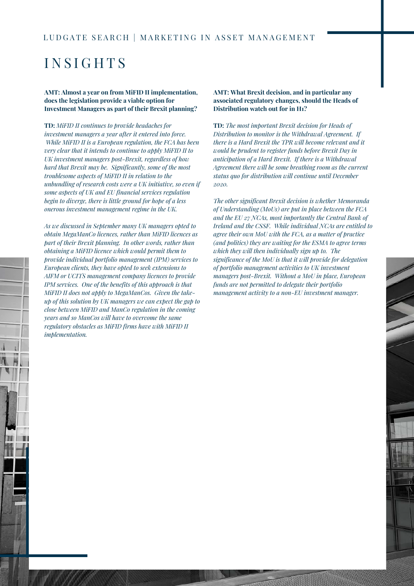## I N S I G H T S

#### **AMT: Almost a year on from MiFID II implementation, does the legislation provide a viable option for Investment Managers as part of their Brexit planning?**

**TD:** *MiFID II continues to provide headaches for investment managers a year after it entered into force. While MiFID II is a European regulation, the FCA has been very clear that it intends to continue to apply MiFID II to UK investment managers post-Brexit, regardless of how hard that Brexit may be. Significantly, some of the most troublesome aspects of MiFID II in relation to the unbundling of research costs were a UK initiative, so even if some aspects of UK and EU financial services regulation begin to diverge, there is little ground for hope of a less onerous investment management regime in the UK.*

*As we discussed in September many UK managers opted to obtain MegaManCo licences, rather than MiFID licences as part of their Brexit planning. In other words, rather than obtaining a MiFID licence which would permit them to provide individual portfolio management (IPM) services to European clients, they have opted to seek extensions to AIFM or UCITS management company licences to provide IPM services. One of the benefits of this approach is that MiFID II does not apply to MegaManCos. Given the takeup of this solution by UK managers we can expect the gap to close between MiFID and ManCo regulation in the coming years and so ManCos will have to overcome the same regulatory obstacles as MiFID firms have with MiFID II implementation.*

#### **AMT: What Brexit decision, and in particular any associated regulatory changes, should the Heads of Distribution watch out for in H1?**

**TD:** *The most important Brexit decision for Heads of Distribution to monitor is the Withdrawal Agreement. If there is a Hard Brexit the TPR will become relevant and it would be prudent to register funds before Brexit Day in anticipation of a Hard Brexit. If there is a Withdrawal Agreement there will be some breathing room as the current status quo for distribution will continue until December 2020.*

*The other significant Brexit decision is whether Memoranda of Understanding (MoUs) are put in place between the FCA and the EU 27 NCAs, most importantly the Central Bank of Ireland and the CSSF. While individual NCAs are entitled to agree their own MoU with the FCA, as a matter of practice (and politics) they are waiting for the ESMA to agree terms which they will then individually sign up to. The significance of the MoU is that it will provide for delegation of portfolio management activities to UK investment managers post-Brexit. Without a MoU in place, European funds are not permitted to delegate their portfolio management activity to a non-EU investment manager.*